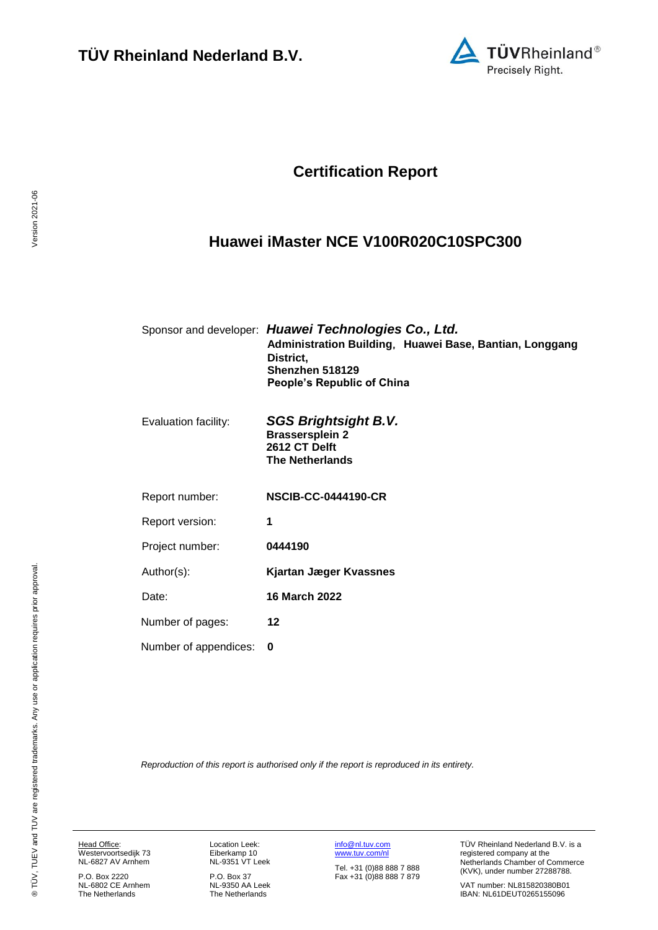

## **Certification Report**

### <span id="page-0-4"></span><span id="page-0-3"></span>**Huawei iMaster NCE V100R020C10SPC300**

<span id="page-0-1"></span><span id="page-0-0"></span>

|                       | Sponsor and developer: Huawei Technologies Co., Ltd.<br>Administration Building, Huawei Base, Bantian, Longgang<br>District,<br>Shenzhen 518129<br>People's Republic of China |
|-----------------------|-------------------------------------------------------------------------------------------------------------------------------------------------------------------------------|
| Evaluation facility:  | <b>SGS Brightsight B.V.</b><br><b>Brassersplein 2</b><br>2612 CT Delft<br><b>The Netherlands</b>                                                                              |
| Report number:        | <b>NSCIB-CC-0444190-CR</b>                                                                                                                                                    |
| Report version:       | 1                                                                                                                                                                             |
| Project number:       | 0444190                                                                                                                                                                       |
| Author(s):            | <b>Kjartan Jæger Kvassnes</b>                                                                                                                                                 |
| Date:                 | <b>16 March 2022</b>                                                                                                                                                          |
| Number of pages:      | 12                                                                                                                                                                            |
| Number of appendices: | 0                                                                                                                                                                             |
|                       |                                                                                                                                                                               |

<span id="page-0-2"></span>*Reproduction of this report is authorised only if the report is reproduced in its entirety.*

Version 2021-06

Version 2021-06

Head Office: Westervoortsedijk 73 NL-6827 AV Arnhem

P.O. Box 2220 NL-6802 CE Arnhem The Netherlands Location Leek: Eiberkamp 10 NL-9351 VT Leek

P.O. Box 37 NL-9350 AA Leek The Netherlands [info@nl.tuv.com](mailto:info@nl.tuv.com) [www.tuv.com/nl](http://www.tuv.com/nl)

Tel. +31 (0)88 888 7 888 Fax +31 (0)88 888 7 879 TÜV Rheinland Nederland B.V. is a registered company at the Netherlands Chamber of Commerce (KVK), under number 27288788.

VAT number: NL815820380B01 IBAN: NL61DEUT0265155096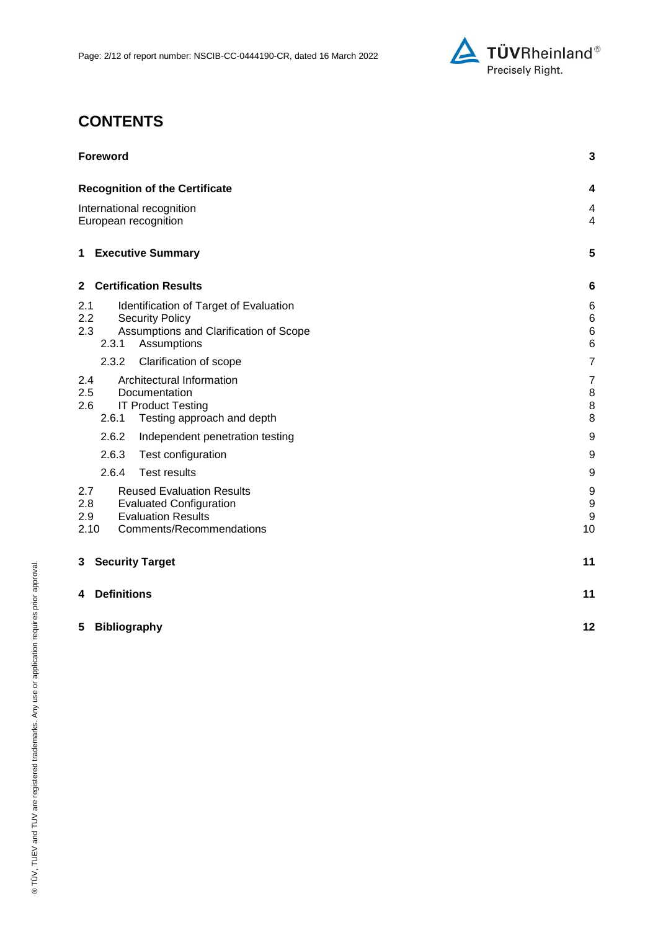

# **CONTENTS**

| <b>Foreword</b>                                                                                                                                          | 3                                               |
|----------------------------------------------------------------------------------------------------------------------------------------------------------|-------------------------------------------------|
| <b>Recognition of the Certificate</b>                                                                                                                    | 4                                               |
| International recognition<br>European recognition                                                                                                        | 4<br>$\overline{4}$                             |
| <b>Executive Summary</b><br>1                                                                                                                            | 5                                               |
| <b>Certification Results</b><br>$\mathbf{2}$                                                                                                             | 6                                               |
| 2.1<br>Identification of Target of Evaluation<br>2.2<br><b>Security Policy</b><br>2.3<br>Assumptions and Clarification of Scope<br>2.3.1<br>Assumptions  | 6<br>$\,6$<br>$6\phantom{1}6$<br>$6\phantom{a}$ |
| 2.3.2<br>Clarification of scope                                                                                                                          | $\overline{7}$                                  |
| Architectural Information<br>2.4<br>2.5<br>Documentation<br><b>IT Product Testing</b><br>2.6<br>2.6.1<br>Testing approach and depth                      | $\overline{7}$<br>8<br>8<br>8                   |
| 2.6.2<br>Independent penetration testing                                                                                                                 | 9                                               |
| 2.6.3<br>Test configuration                                                                                                                              | 9                                               |
| 2.6.4<br><b>Test results</b>                                                                                                                             | 9                                               |
| <b>Reused Evaluation Results</b><br>2.7<br>2.8<br><b>Evaluated Configuration</b><br><b>Evaluation Results</b><br>2.9<br>2.10<br>Comments/Recommendations | 9<br>$\boldsymbol{9}$<br>9<br>10                |
| <b>Security Target</b><br>3                                                                                                                              | 11                                              |
| <b>Definitions</b><br>4                                                                                                                                  | 11                                              |
| <b>Bibliography</b><br>5                                                                                                                                 | 12                                              |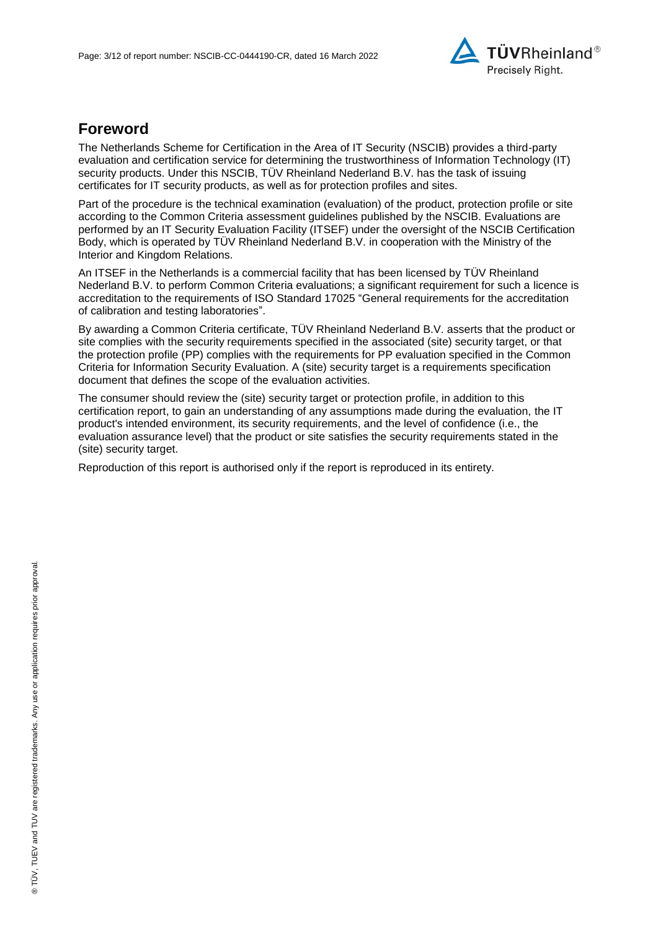

### **Foreword**

The Netherlands Scheme for Certification in the Area of IT Security (NSCIB) provides a third-party evaluation and certification service for determining the trustworthiness of Information Technology (IT) security products. Under this NSCIB, TÜV Rheinland Nederland B.V. has the task of issuing certificates for IT security products, as well as for protection profiles and sites.

Part of the procedure is the technical examination (evaluation) of the product, protection profile or site according to the Common Criteria assessment guidelines published by the NSCIB. Evaluations are performed by an IT Security Evaluation Facility (ITSEF) under the oversight of the NSCIB Certification Body, which is operated by TÜV Rheinland Nederland B.V. in cooperation with the Ministry of the Interior and Kingdom Relations.

An ITSEF in the Netherlands is a commercial facility that has been licensed by TÜV Rheinland Nederland B.V. to perform Common Criteria evaluations; a significant requirement for such a licence is accreditation to the requirements of ISO Standard 17025 "General requirements for the accreditation of calibration and testing laboratories".

By awarding a Common Criteria certificate, TÜV Rheinland Nederland B.V. asserts that the product or site complies with the security requirements specified in the associated (site) security target, or that the protection profile (PP) complies with the requirements for PP evaluation specified in the Common Criteria for Information Security Evaluation. A (site) security target is a requirements specification document that defines the scope of the evaluation activities.

The consumer should review the (site) security target or protection profile, in addition to this certification report, to gain an understanding of any assumptions made during the evaluation, the IT product's intended environment, its security requirements, and the level of confidence (i.e., the evaluation assurance level) that the product or site satisfies the security requirements stated in the (site) security target.

Reproduction of this report is authorised only if the report is reproduced in its entirety.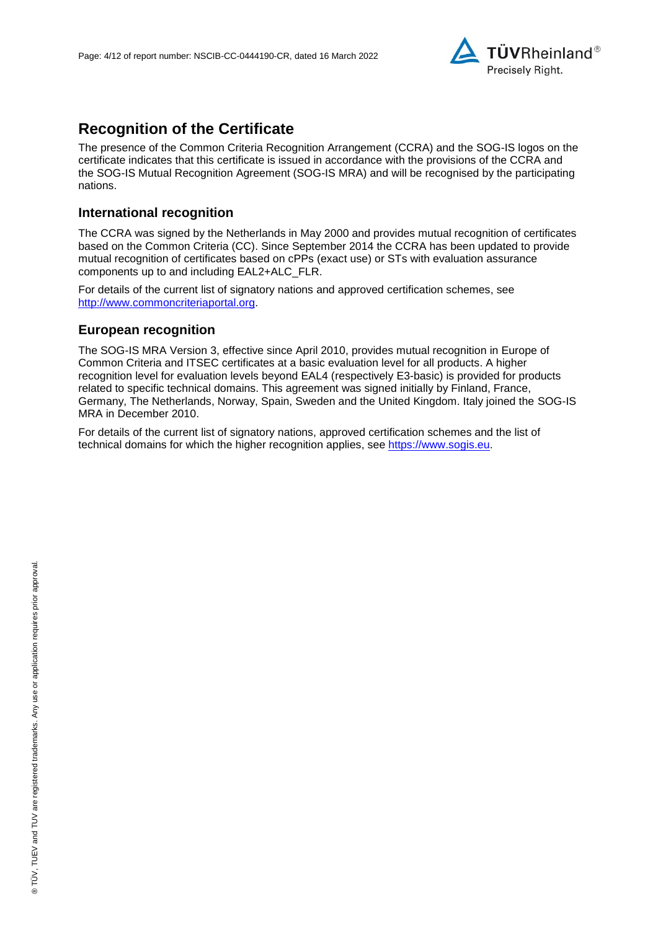

## **Recognition of the Certificate**

The presence of the Common Criteria Recognition Arrangement (CCRA) and the SOG-IS logos on the certificate indicates that this certificate is issued in accordance with the provisions of the CCRA and the SOG-IS Mutual Recognition Agreement (SOG-IS MRA) and will be recognised by the participating nations.

#### **International recognition**

The CCRA was signed by the Netherlands in May 2000 and provides mutual recognition of certificates based on the Common Criteria (CC). Since September 2014 the CCRA has been updated to provide mutual recognition of certificates based on cPPs (exact use) or STs with evaluation assurance components up to and including EAL2+ALC\_FLR.

For details of the current list of signatory nations and approved certification schemes, see [http://www.commoncriteriaportal.org.](http://www.commoncriteriaportal.org/)

#### **European recognition**

The SOG-IS MRA Version 3, effective since April 2010, provides mutual recognition in Europe of Common Criteria and ITSEC certificates at a basic evaluation level for all products. A higher recognition level for evaluation levels beyond EAL4 (respectively E3-basic) is provided for products related to specific technical domains. This agreement was signed initially by Finland, France, Germany, The Netherlands, Norway, Spain, Sweden and the United Kingdom. Italy joined the SOG-IS MRA in December 2010.

For details of the current list of signatory nations, approved certification schemes and the list of technical domains for which the higher recognition applies, see [https://www.sogis.eu.](https://www.sogis.eu/)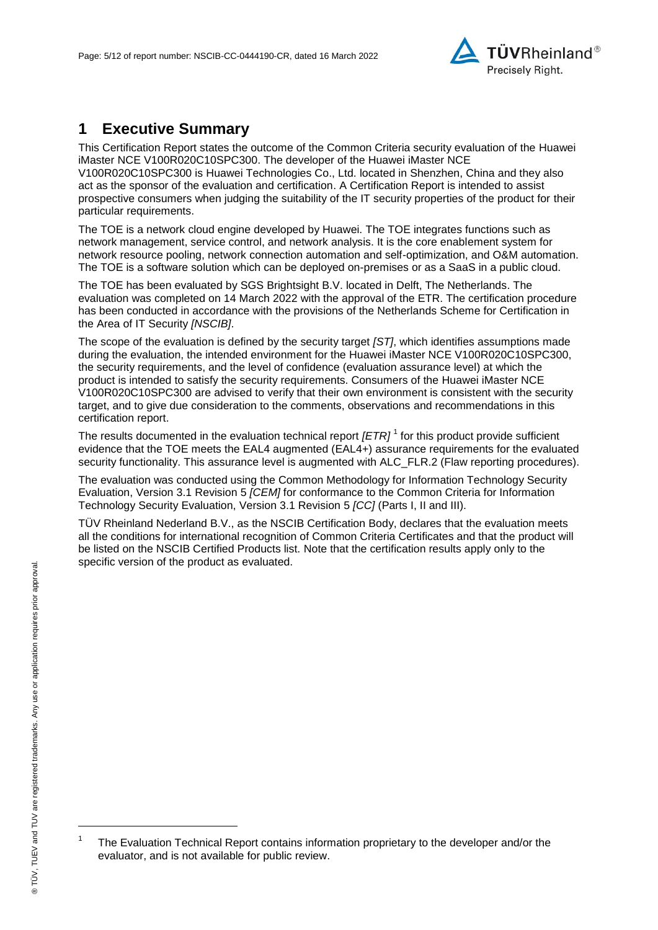<span id="page-4-2"></span>

## **1 Executive Summary**

This Certification Report states the outcome of the Common Criteria security evaluation of the [Huawei](#page-0-3)  [iMaster NCE V100R020C10SPC300.](#page-0-3) The developer of the [Huawei iMaster NCE](#page-0-3)  [V100R020C10SPC300](#page-0-3) is [Huawei Technologies Co., Ltd.](#page-0-4) located in Shenzhen, China and they also act as the sponsor of the evaluation and certification. A Certification Report is intended to assist prospective consumers when judging the suitability of the IT security properties of the product for their particular requirements.

The TOE is a network cloud engine developed by Huawei. The TOE integrates functions such as network management, service control, and network analysis. It is the core enablement system for network resource pooling, network connection automation and self-optimization, and O&M automation. The TOE is a software solution which can be deployed on-premises or as a SaaS in a public cloud.

The TOE has been evaluated by SGS Brightsight B.V. located in Delft, The Netherlands. The evaluation was completed on 14 March 2022 with the approval of the ETR. The certification procedure has been conducted in accordance with the provisions of the Netherlands Scheme for Certification in the Area of IT Security *[NSCIB]*.

The scope of the evaluation is defined by the security target *[ST]*, which identifies assumptions made during the evaluation, the intended environment for the [Huawei iMaster NCE V100R020C10SPC300,](#page-0-3) the security requirements, and the level of confidence (evaluation assurance level) at which the product is intended to satisfy the security requirements. Consumers of the [Huawei iMaster NCE](#page-0-3)  [V100R020C10SPC300](#page-0-3) are advised to verify that their own environment is consistent with the security target, and to give due consideration to the comments, observations and recommendations in this certification report.

<span id="page-4-0"></span>The results documented in the evaluation technical report *[ETR]* <sup>1</sup> for this product provide sufficient evidence that the TOE meets the EAL4 augmented (EA[L4+](#page-4-0)) assurance requirements for the evaluated security functionality. This assurance level is augmented with ALC FLR.2 (Flaw reporting procedures).

<span id="page-4-1"></span>The evaluation was conducted using the Common Methodology for Information Technology Security Evaluation, Version 3.1 Revision 5 *[CEM]* for conformance to the Common Criteria for Information Technology Security Evaluation, Version 3.1 Revision [5](#page-4-1) *[CC]* (Parts I, II and III).

TÜV Rheinland Nederland B.V., as the NSCIB Certification Body, declares that the evaluation meets all the conditions for international recognition of Common Criteria Certificates and that the product will be listed on the NSCIB Certified Products list. Note that the certification results apply only to the specific version of the product as evaluated.

l

<sup>1</sup> The Evaluation Technical Report contains information proprietary to the developer and/or the evaluator, and is not available for public review.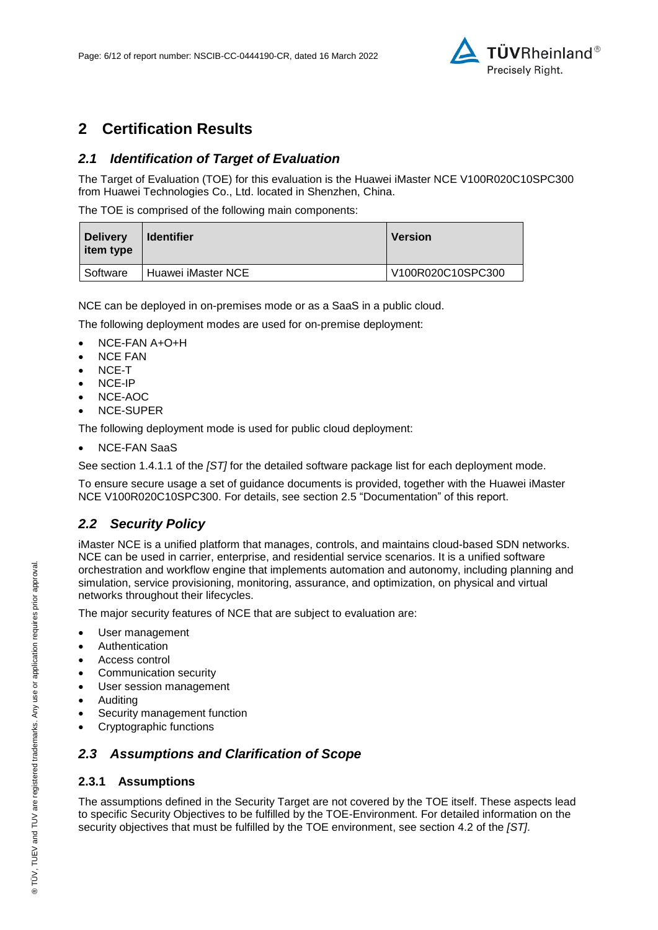

## **2 Certification Results**

### *2.1 Identification of Target of Evaluation*

The Target of Evaluation (TOE) for this evaluation is the [Huawei iMaster NCE V100R020C10SPC300](#page-0-3) from [Huawei Technologies Co., Ltd.](#page-0-4) located in [Shenzhen, China.](#page-4-2)

The TOE is comprised of the following main components:

| <b>Delivery</b><br>item type | <b>Identifier</b>  | <b>Version</b>    |
|------------------------------|--------------------|-------------------|
| Software                     | Huawei iMaster NCE | V100R020C10SPC300 |

NCE can be deployed in on-premises mode or as a SaaS in a public cloud.

The following deployment modes are used for on-premise deployment:

- NCE-FAN A+O+H
- NCE FAN
- NCE-T
- NCE-IP
- NCE-AOC
- NCE-SUPER

The following deployment mode is used for public cloud deployment:

NCE-FAN SaaS

See section 1.4.1.1 of the *[ST]* for the detailed software package list for each deployment mode.

To ensure secure usage a set of guidance documents is provided, together with the [Huawei iMaster](#page-0-3)  [NCE V100R020C10SPC300.](#page-0-3) For details, see section [2.5](#page-7-0) ["Documentation"](#page-7-0) of this report.

#### *2.2 Security Policy*

iMaster NCE is a unified platform that manages, controls, and maintains cloud-based SDN networks. NCE can be used in carrier, enterprise, and residential service scenarios. It is a unified software orchestration and workflow engine that implements automation and autonomy, including planning and simulation, service provisioning, monitoring, assurance, and optimization, on physical and virtual networks throughout their lifecycles.

The major security features of NCE that are subject to evaluation are:

- User management
- Authentication
- Access control
- Communication security
- User session management
- Auditing
- Security management function
- Cryptographic functions

#### *2.3 Assumptions and Clarification of Scope*

#### **2.3.1 Assumptions**

The assumptions defined in the Security Target are not covered by the TOE itself. These aspects lead to specific Security Objectives to be fulfilled by the TOE-Environment. For detailed information on the security objectives that must be fulfilled by the TOE environment, see section 4.2 of the *[ST]*.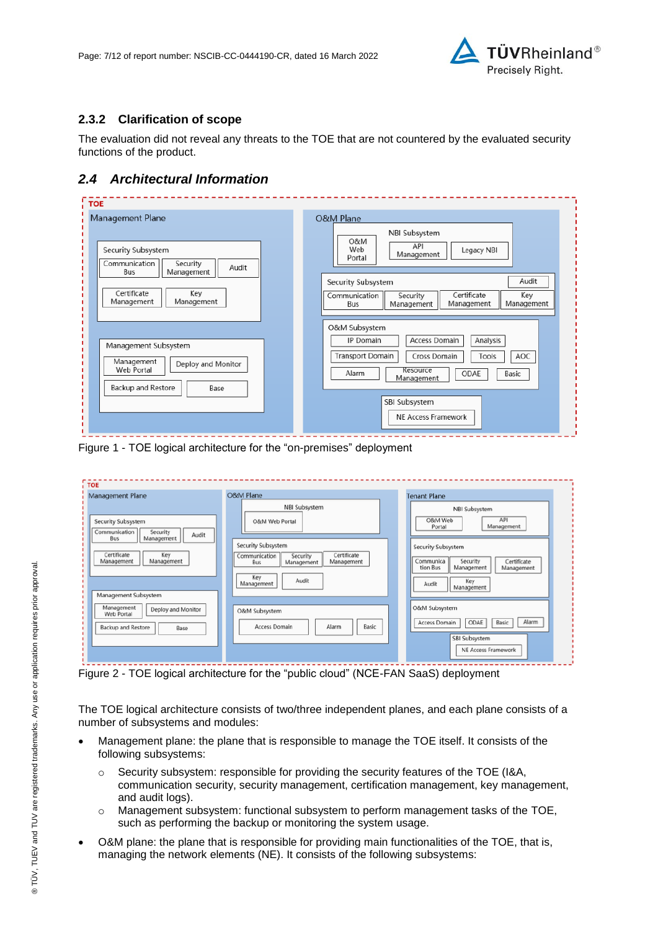

#### **2.3.2 Clarification of scope**

The evaluation did not reveal any threats to the TOE that are not countered by the evaluated security functions of the product.

### *2.4 Architectural Information*

| Management Plane                                                                                     | <b>O&amp;M Plane</b><br>NBI Subsystem<br>O&M                                                                                                                                            |
|------------------------------------------------------------------------------------------------------|-----------------------------------------------------------------------------------------------------------------------------------------------------------------------------------------|
| Security Subsystem<br>Communication<br>Security<br>Audit<br>Management<br>Bus                        | API<br>Web<br>Legacy NBI<br>Management<br>Portal                                                                                                                                        |
| Certificate<br>Key<br>Management<br>Management                                                       | Audit<br>Security Subsystem<br>Certificate<br>Key<br>Communication<br>Security<br>Management<br>Management<br>Bus<br>Management                                                         |
| Management Subsystem<br>Management<br>Deploy and Monitor<br>Web Portal<br>Backup and Restore<br>Base | O&M Subsystem<br>Access Domain<br>Analysis<br>IP Domain<br><b>Transport Domain</b><br>Cross Domain<br>AOC<br>Tools<br>Resource<br>Alarm<br>ODAE<br>Basic<br>Management<br>SBI Subsystem |
|                                                                                                      | NE Access Framework                                                                                                                                                                     |

Figure 1 - TOE logical architecture for the "on-premises" deployment

| <b>Management Plane</b>                                                                                                                                 | <b>O&amp;M Plane</b>                                                                                                                                               | <b>Tenant Plane</b>                                                                                                                                                                         |
|---------------------------------------------------------------------------------------------------------------------------------------------------------|--------------------------------------------------------------------------------------------------------------------------------------------------------------------|---------------------------------------------------------------------------------------------------------------------------------------------------------------------------------------------|
| Security Subsystem<br>Communication<br>Security<br>Audit<br>Management<br>Bus<br>Certificate<br>Key<br>Management<br>Management<br>Management Subsystem | NBI Subsystem<br>O&M Web Portal<br>Security Subsystem<br>Certificate<br>Communication<br>Security<br>Management<br>Management<br>Bus<br>Key<br>Audit<br>Management | NBI Subsystem<br>O&M Web<br>API<br>Management<br>Portal<br>Security Subsystem<br>Communica<br>Security<br>Certificate<br>Management<br>tion Bus<br>Management<br>Key<br>Audit<br>Management |
| Management<br>Deploy and Monitor<br><b>Web Portal</b><br><b>Backup and Restore</b><br>Base                                                              | O&M Subsystem<br>Basic<br>Access Domain<br>Alarm                                                                                                                   | O&M Subsystem<br>Alarm<br>Access Domain<br>ODAE<br>Basic<br>SBI Subsystem<br><b>NE Access Framework</b>                                                                                     |

Figure 2 - TOE logical architecture for the "public cloud" (NCE-FAN SaaS) deployment

The TOE logical architecture consists of two/three independent planes, and each plane consists of a number of subsystems and modules:

- Management plane: the plane that is responsible to manage the TOE itself. It consists of the following subsystems:
	- $\circ$  Security subsystem: responsible for providing the security features of the TOE (I&A, communication security, security management, certification management, key management, and audit logs).
	- o Management subsystem: functional subsystem to perform management tasks of the TOE, such as performing the backup or monitoring the system usage.
- O&M plane: the plane that is responsible for providing main functionalities of the TOE, that is, managing the network elements (NE). It consists of the following subsystems: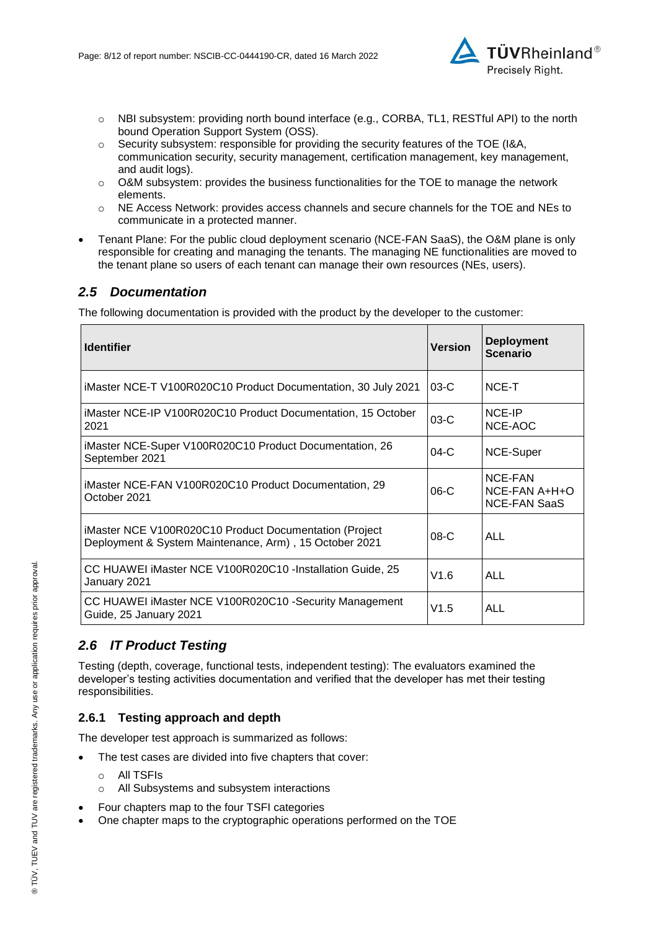

- o NBI subsystem: providing north bound interface (e.g., CORBA, TL1, RESTful API) to the north bound Operation Support System (OSS).
- $\circ$  Security subsystem: responsible for providing the security features of the TOE (I&A, communication security, security management, certification management, key management, and audit logs).
- $\circ$  O&M subsystem: provides the business functionalities for the TOE to manage the network elements.
- o NE Access Network: provides access channels and secure channels for the TOE and NEs to communicate in a protected manner.
- Tenant Plane: For the public cloud deployment scenario (NCE-FAN SaaS), the O&M plane is only responsible for creating and managing the tenants. The managing NE functionalities are moved to the tenant plane so users of each tenant can manage their own resources (NEs, users).

#### <span id="page-7-0"></span>*2.5 Documentation*

The following documentation is provided with the product by the developer to the customer:

| <b>Identifier</b>                                                                                                | <b>Version</b> | <b>Deployment</b><br><b>Scenario</b>              |
|------------------------------------------------------------------------------------------------------------------|----------------|---------------------------------------------------|
| iMaster NCE-T V100R020C10 Product Documentation, 30 July 2021                                                    | $03-C$         | NCE-T                                             |
| iMaster NCE-IP V100R020C10 Product Documentation, 15 October<br>2021                                             | $03-C$         | NCE-IP<br>NCE-AOC                                 |
| iMaster NCE-Super V100R020C10 Product Documentation, 26<br>September 2021                                        | $04-C$         | NCE-Super                                         |
| iMaster NCE-FAN V100R020C10 Product Documentation, 29<br>October 2021                                            | $06-C$         | NCE-FAN<br>$NCE-FAN A+H+O$<br><b>NCE-FAN SaaS</b> |
| iMaster NCE V100R020C10 Product Documentation (Project<br>Deployment & System Maintenance, Arm), 15 October 2021 | $08-C$         | ALL                                               |
| CC HUAWEI iMaster NCE V100R020C10 - Installation Guide, 25<br>January 2021                                       | V1.6           | ALL                                               |
| CC HUAWEI iMaster NCE V100R020C10 -Security Management<br>Guide, 25 January 2021                                 | V1.5           | <b>ALL</b>                                        |

### *2.6 IT Product Testing*

Testing (depth, coverage, functional tests, independent testing): The evaluators examined the developer's testing activities documentation and verified that the developer has met their testing responsibilities.

#### **2.6.1 Testing approach and depth**

The developer test approach is summarized as follows:

- The test cases are divided into five chapters that cover:
	- o All TSFIs
	- o All Subsystems and subsystem interactions
- Four chapters map to the four TSFI categories
- One chapter maps to the cryptographic operations performed on the TOE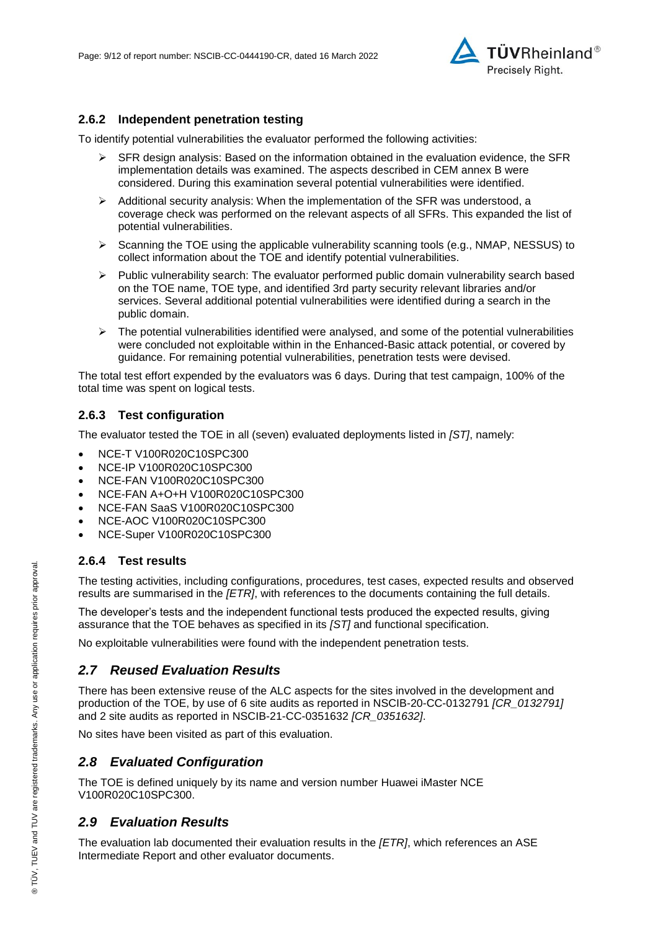

#### **2.6.2 Independent penetration testing**

To identify potential vulnerabilities the evaluator performed the following activities:

- $\triangleright$  SFR design analysis: Based on the information obtained in the evaluation evidence, the SFR implementation details was examined. The aspects described in CEM annex B were considered. During this examination several potential vulnerabilities were identified.
- $\triangleright$  Additional security analysis: When the implementation of the SFR was understood, a coverage check was performed on the relevant aspects of all SFRs. This expanded the list of potential vulnerabilities.
- $\triangleright$  Scanning the TOE using the applicable vulnerability scanning tools (e.g., NMAP, NESSUS) to collect information about the TOE and identify potential vulnerabilities.
- $\triangleright$  Public vulnerability search: The evaluator performed public domain vulnerability search based on the TOE name, TOE type, and identified 3rd party security relevant libraries and/or services. Several additional potential vulnerabilities were identified during a search in the public domain.
- $\triangleright$  The potential vulnerabilities identified were analysed, and some of the potential vulnerabilities were concluded not exploitable within in the Enhanced-Basic attack potential, or covered by guidance. For remaining potential vulnerabilities, penetration tests were devised.

The total test effort expended by the evaluators was 6 days. During that test campaign, 100% of the total time was spent on logical tests.

#### **2.6.3 Test configuration**

The evaluator tested the TOE in all (seven) evaluated deployments listed in *[ST]*, namely:

- NCE-T V100R020C10SPC300
- NCE-IP V100R020C10SPC300
- NCE-FAN V100R020C10SPC300
- NCE-FAN A+O+H V100R020C10SPC300
- NCE-FAN SaaS V100R020C10SPC300
- NCE-AOC V100R020C10SPC300
- NCE-Super V100R020C10SPC300

#### **2.6.4 Test results**

The testing activities, including configurations, procedures, test cases, expected results and observed results are summarised in the *[ETR]*, with references to the documents containing the full details.

The developer's tests and the independent functional tests produced the expected results, giving assurance that the TOE behaves as specified in its *[ST]* and functional specification.

No exploitable vulnerabilities were found with the independent penetration tests.

#### *2.7 Reused Evaluation Results*

There has been extensive reuse of the ALC aspects for the sites involved in the development and production of the TOE, by use of 6 site audits as reported in NSCIB-20-CC-0132791 *[CR\_0132791]* and 2 site audits as reported in NSCIB-21-CC-0351632 *[CR\_0351632]*.

No sites have been visited as part of this evaluation.

#### *2.8 Evaluated Configuration*

The TOE is defined uniquely by its name and version number [Huawei iMaster NCE](#page-0-3)  [V100R020C10SPC300.](#page-0-3)

#### *2.9 Evaluation Results*

The evaluation lab documented their evaluation results in the *[ETR]*, which references an ASE Intermediate Report and other evaluator documents.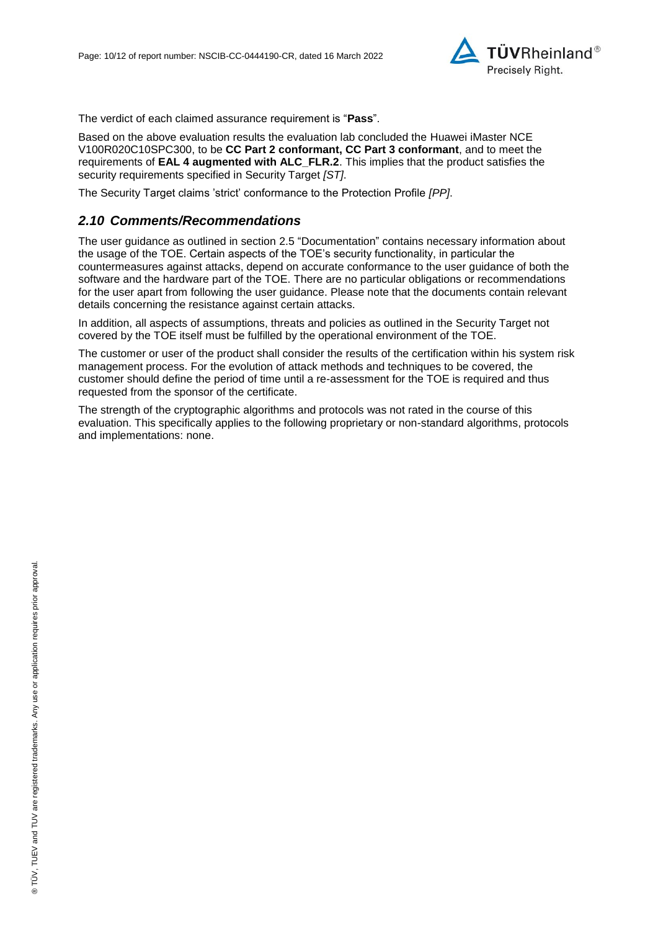

The verdict of each claimed assurance requirement is "**Pass**".

Based on the above evaluation results the evaluation lab concluded the [Huawei iMaster NCE](#page-0-3)  [V100R020C10SPC300,](#page-0-3) to be **CC Part 2 conformant, CC Part 3 conformant**, and to meet the requirements of **EAL [4](#page-4-0) augmented with ALC\_FLR.2**. This implies that the product satisfies the security requirements specified in Security Target *[ST]*.

The Security Target claims 'strict' conformance to the Protection Profile *[PP]*.

#### *2.10 Comments/Recommendations*

The user guidance as outlined in section [2.5](#page-7-0) ["Documentation"](#page-7-0) contains necessary information about the usage of the TOE. Certain aspects of the TOE's security functionality, in particular the countermeasures against attacks, depend on accurate conformance to the user guidance of both the software and the hardware part of the TOE. There are no particular obligations or recommendations for the user apart from following the user guidance. Please note that the documents contain relevant details concerning the resistance against certain attacks.

In addition, all aspects of assumptions, threats and policies as outlined in the Security Target not covered by the TOE itself must be fulfilled by the operational environment of the TOE.

The customer or user of the product shall consider the results of the certification within his system risk management process. For the evolution of attack methods and techniques to be covered, the customer should define the period of time until a re-assessment for the TOE is required and thus requested from the sponsor of the certificate.

The strength of the cryptographic algorithms and protocols was not rated in the course of this evaluation. This specifically applies to the following proprietary or non-standard algorithms, protocols and implementations: none.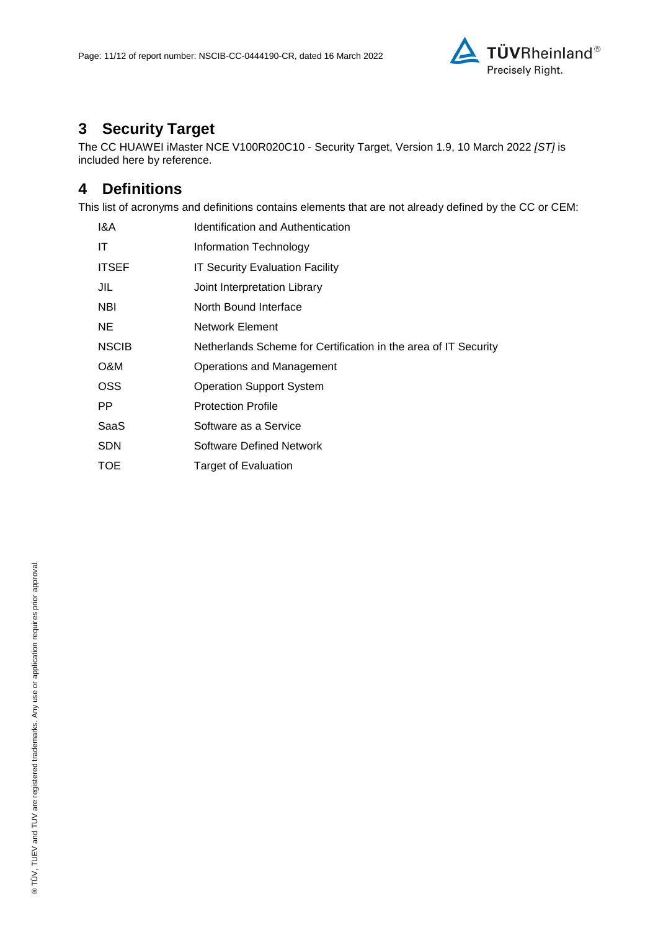

# **3 Security Target**

The CC HUAWEI iMaster NCE V100R020C10 - [Security Target, Version 1.9, 10 March 2022](#page-11-0) *[ST]* is included here by reference.

### **4 Definitions**

This list of acronyms and definitions contains elements that are not already defined by the CC or CEM:

| 1&A          | Identification and Authentication                               |
|--------------|-----------------------------------------------------------------|
| ΙT           | Information Technology                                          |
| <b>ITSEF</b> | <b>IT Security Evaluation Facility</b>                          |
| JIL          | Joint Interpretation Library                                    |
| <b>NBI</b>   | North Bound Interface                                           |
| NE.          | <b>Network Element</b>                                          |
| <b>NSCIB</b> | Netherlands Scheme for Certification in the area of IT Security |
| O&M          | Operations and Management                                       |
| <b>OSS</b>   | <b>Operation Support System</b>                                 |
| PP.          | <b>Protection Profile</b>                                       |
| SaaS         | Software as a Service                                           |
| <b>SDN</b>   | <b>Software Defined Network</b>                                 |
| <b>TOE</b>   | Target of Evaluation                                            |